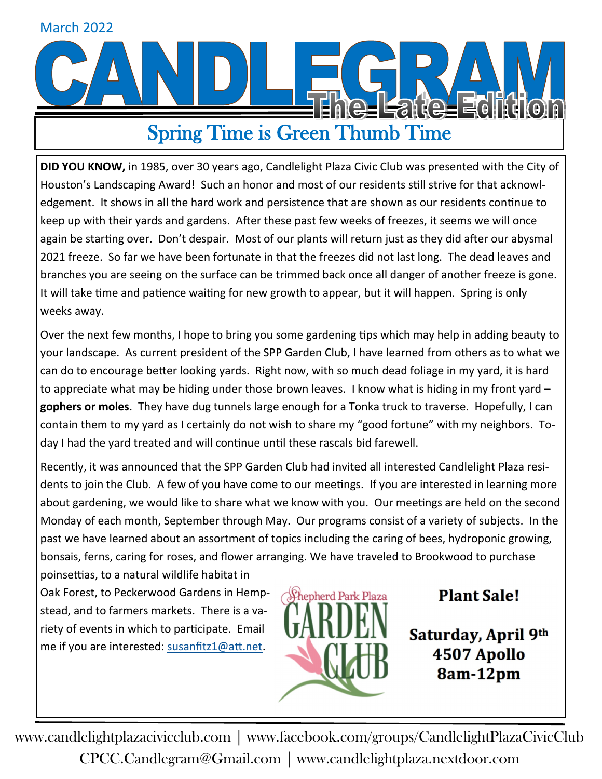# March 2022**e-Fare-Fell** Spring Time is Green Thumb Time

**DID YOU KNOW,** in 1985, over 30 years ago, Candlelight Plaza Civic Club was presented with the City of Houston's Landscaping Award! Such an honor and most of our residents still strive for that acknowledgement. It shows in all the hard work and persistence that are shown as our residents continue to keep up with their yards and gardens. After these past few weeks of freezes, it seems we will once again be starting over. Don't despair. Most of our plants will return just as they did after our abysmal 2021 freeze. So far we have been fortunate in that the freezes did not last long. The dead leaves and branches you are seeing on the surface can be trimmed back once all danger of another freeze is gone. It will take time and patience waiting for new growth to appear, but it will happen. Spring is only weeks away.

Over the next few months, I hope to bring you some gardening tips which may help in adding beauty to your landscape. As current president of the SPP Garden Club, I have learned from others as to what we can do to encourage better looking yards. Right now, with so much dead foliage in my yard, it is hard to appreciate what may be hiding under those brown leaves. I know what is hiding in my front yard – **gophers or moles**. They have dug tunnels large enough for a Tonka truck to traverse. Hopefully, I can contain them to my yard as I certainly do not wish to share my "good fortune" with my neighbors. Today I had the yard treated and will continue until these rascals bid farewell.

Recently, it was announced that the SPP Garden Club had invited all interested Candlelight Plaza residents to join the Club. A few of you have come to our meetings. If you are interested in learning more about gardening, we would like to share what we know with you. Our meetings are held on the second Monday of each month, September through May. Our programs consist of a variety of subjects. In the past we have learned about an assortment of topics including the caring of bees, hydroponic growing, bonsais, ferns, caring for roses, and flower arranging. We have traveled to Brookwood to purchase poinsettias, to a natural wildlife habitat in

Oak Forest, to Peckerwood Gardens in Hempstead, and to farmers markets. There is a variety of events in which to participate. Email me if you are interested: [susanfitz1@att.net.](mailto:susanfitz1@att.net)



**Plant Sale!** 

Saturday, April 9th 4507 Apollo 8am-12pm

www.candlelightplazacivicclub.com | www.facebook.com/groups/CandlelightPlazaCivicClub CPCC.Candlegram@Gmail.com | www.candlelightplaza.nextdoor.com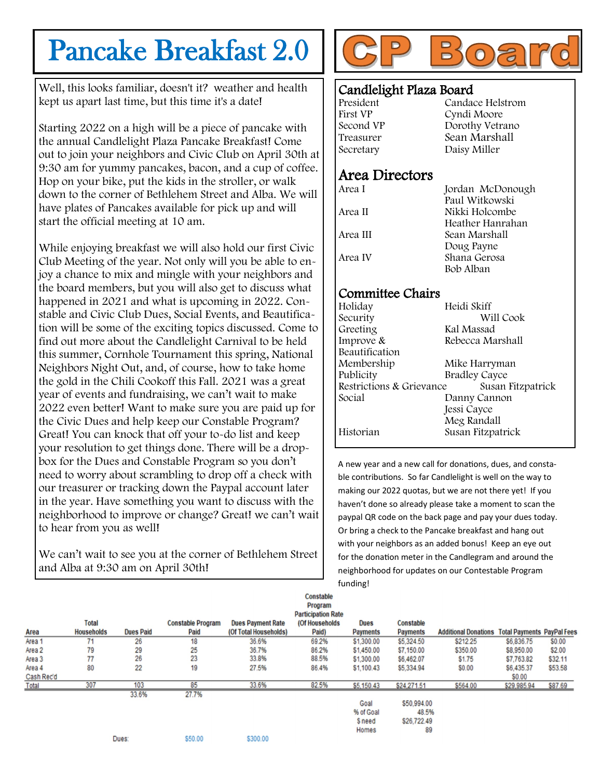## Pancake Breakfast 2.0

Well, this looks familiar, doesn't it? weather and health kept us apart last time, but this time it's a date!

Starting 2022 on a high will be a piece of pancake with the annual Candlelight Plaza Pancake Breakfast! Come out to join your neighbors and Civic Club on April 30th at 9:30 am for yummy pancakes, bacon, and a cup of coffee. Hop on your bike, put the kids in the stroller, or walk down to the corner of Bethlehem Street and Alba. We will have plates of Pancakes available for pick up and will start the official meeting at 10 am.

While enjoying breakfast we will also hold our first Civic Club Meeting of the year. Not only will you be able to enjoy a chance to mix and mingle with your neighbors and the board members, but you will also get to discuss what happened in 2021 and what is upcoming in 2022. Constable and Civic Club Dues, Social Events, and Beautification will be some of the exciting topics discussed. Come to find out more about the Candlelight Carnival to be held this summer, Cornhole Tournament this spring, National Neighbors Night Out, and, of course, how to take home the gold in the Chili Cookoff this Fall. 2021 was a great year of events and fundraising, we can't wait to make 2022 even better! Want to make sure you are paid up for the Civic Dues and help keep our Constable Program? Great! You can knock that off your to-do list and keep your resolution to get things done. There will be a dropbox for the Dues and Constable Program so you don't need to worry about scrambling to drop off a check with our treasurer or tracking down the Paypal account later in the year. Have something you want to discuss with the neighborhood to improve or change? Great! we can't wait to hear from you as well!

We can't wait to see you at the corner of Bethlehem Street and Alba at 9:30 am on April 30th!



#### Candlelight Plaza Board

| President | Candace Helstrom |
|-----------|------------------|
| First VP  | Cyndi Moore      |
| Second VP | Dorothy Vetrano  |
| Treasurer | Sean Marshall    |
| Secretary | Daisy Miller     |
|           |                  |

#### Area Directors

| Area I   | Jordan McDonough |
|----------|------------------|
|          | Paul Witkowski   |
| Area II  | Nikki Holcombe   |
|          | Heather Hanrahan |
| Area III | Sean Marshall    |
|          | Doug Payne       |
| Area IV  | Shana Gerosa     |
|          | Bob Alban        |

#### Committee Chairs

| Holiday                  | Heidi Skiff          |  |  |  |
|--------------------------|----------------------|--|--|--|
| Security                 | Will Cook            |  |  |  |
| Greeting                 | Kal Massad           |  |  |  |
| Improve &                | Rebecca Marshall     |  |  |  |
| Beautification           |                      |  |  |  |
| Membership               | Mike Harryman        |  |  |  |
| Publicity                | <b>Bradley Cayce</b> |  |  |  |
| Restrictions & Grievance | Susan Fitzpatrick    |  |  |  |
| Social                   | Danny Cannon         |  |  |  |
|                          | Jessi Cayce          |  |  |  |
|                          | Meg Randall          |  |  |  |
| Historian                | Susan Fitzpatrick    |  |  |  |
|                          |                      |  |  |  |

A new year and a new call for donations, dues, and constable contributions. So far Candlelight is well on the way to making our 2022 quotas, but we are not there yet! If you haven't done so already please take a moment to scan the paypal QR code on the back page and pay your dues today. Or bring a check to the Pancake breakfast and hang out with your neighbors as an added bonus! Keep an eye out for the donation meter in the Candlegram and around the neighborhood for updates on our Contestable Program funding!

|            |                   |                  |                          |                          | <b>Constable</b><br>Program<br><b>Participation Rate</b> |                 |                  |                                                        |             |         |
|------------|-------------------|------------------|--------------------------|--------------------------|----------------------------------------------------------|-----------------|------------------|--------------------------------------------------------|-------------|---------|
|            | <b>Total</b>      |                  | <b>Constable Program</b> | <b>Dues Payment Rate</b> | (Of Households                                           | <b>Dues</b>     | <b>Constable</b> |                                                        |             |         |
| Area       | <b>Households</b> | <b>Dues Paid</b> | Paid                     | (Of Total Households)    | Paid)                                                    | <b>Payments</b> | <b>Payments</b>  | <b>Additional Donations Total Payments PayPal Fees</b> |             |         |
| Area 1     | 71                | 26               | 18                       | 36.6%                    | 69.2%                                                    | \$1,300.00      | \$5,324.50       | \$212.25                                               | \$6,836.75  | \$0.00  |
| Area 2     | 79                | 29               | 25                       | 36.7%                    | 86.2%                                                    | \$1,450.00      | \$7,150.00       | \$350.00                                               | \$8,950.00  | \$2.00  |
| Area 3     | 77                | 26               | 23                       | 33.8%                    | 88.5%                                                    | \$1,300.00      | \$6,462.07       | \$1.75                                                 | \$7,763.82  | \$32.11 |
| Area 4     | 80                | 22               | 19                       | 27.5%                    | 86.4%                                                    | \$1,100.43      | \$5,334.94       | \$0.00                                                 | \$6,435.37  | \$53.58 |
| Cash Rec'd |                   |                  |                          |                          |                                                          |                 |                  |                                                        | \$0.00      |         |
| Total      | 307               | 103              | 85                       | 33.6%                    | 82.5%                                                    | \$5,150.43      | \$24,271.51      | \$564.00                                               | \$29,985.94 | \$87.69 |
|            |                   | 33.6%            | 27.7%                    |                          |                                                          |                 |                  |                                                        |             |         |
|            |                   |                  |                          |                          |                                                          | Goal            | \$50,994.00      |                                                        |             |         |
|            |                   |                  |                          |                          |                                                          | % of Goal       | 48.5%            |                                                        |             |         |
|            |                   |                  |                          |                          |                                                          | <b>Sneed</b>    | \$26,722.49      |                                                        |             |         |
|            |                   |                  |                          |                          |                                                          | Homes           | 89               |                                                        |             |         |
|            |                   | Dues:            | \$50.00                  | \$300.00                 |                                                          |                 |                  |                                                        |             |         |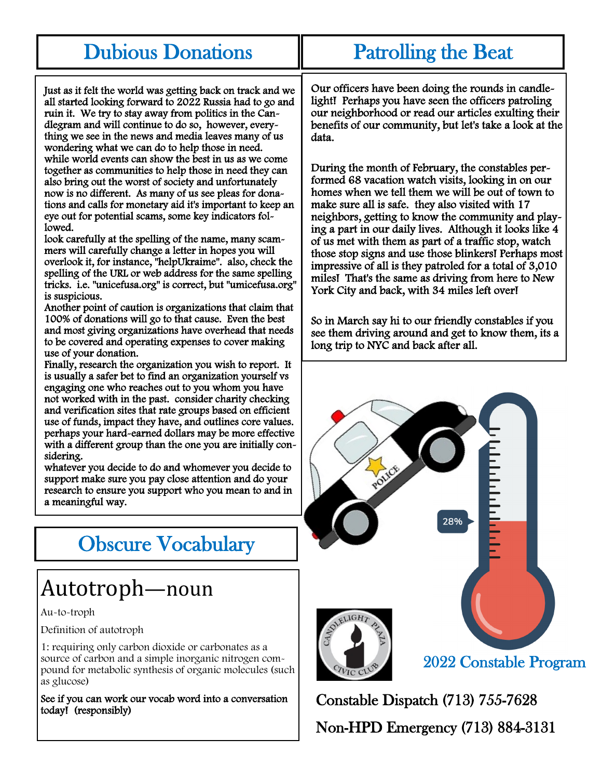#### Dubious Donations

#### Patrolling the Beat

Just as it felt the world was getting back on track and we all started looking forward to 2022 Russia had to go and ruin it. We try to stay away from politics in the Candlegram and will continue to do so, however, everything we see in the news and media leaves many of us wondering what we can do to help those in need. while world events can show the best in us as we come together as communities to help those in need they can also bring out the worst of society and unfortunately now is no different. As many of us see pleas for donations and calls for monetary aid it's important to keep an eye out for potential scams, some key indicators followed.

look carefully at the spelling of the name, many scammers will carefully change a letter in hopes you will overlook it, for instance, "helpUkraime". also, check the spelling of the URL or web address for the same spelling tricks. i.e. "unicefusa.org" is correct, but "umicefusa.org" is suspicious.

Another point of caution is organizations that claim that 100% of donations will go to that cause. Even the best and most giving organizations have overhead that needs to be covered and operating expenses to cover making use of your donation.

Finally, research the organization you wish to report. It is usually a safer bet to find an organization yourself vs engaging one who reaches out to you whom you have not worked with in the past. consider charity checking and verification sites that rate groups based on efficient use of funds, impact they have, and outlines core values. perhaps your hard-earned dollars may be more effective with a different group than the one you are initially considering.

whatever you decide to do and whomever you decide to support make sure you pay close attention and do your research to ensure you support who you mean to and in a meaningful way.

## Obscure Vocabulary

## Autotroph—noun

Au-to-troph

Definition of autotroph

1: requiring only carbon dioxide or carbonates as a source of carbon and a simple inorganic nitrogen compound for metabolic synthesis of organic molecules (such as glucose)

See if you can work our vocab word into a conversation today! (responsibly)

Our officers have been doing the rounds in candlelight! Perhaps you have seen the officers patroling our neighborhood or read our articles exulting their benefits of our community, but let's take a look at the data.

During the month of February, the constables performed 68 vacation watch visits, looking in on our homes when we tell them we will be out of town to make sure all is safe. they also visited with 17 neighbors, getting to know the community and playing a part in our daily lives. Although it looks like 4 of us met with them as part of a traffic stop, watch those stop signs and use those blinkers! Perhaps most impressive of all is they patroled for a total of 3,010 miles! That's the same as driving from here to New York City and back, with 34 miles left over!

So in March say hi to our friendly constables if you see them driving around and get to know them, its a long trip to NYC and back after all.



Constable Dispatch (713) 755-7628 Non-HPD Emergency (713) 884-3131